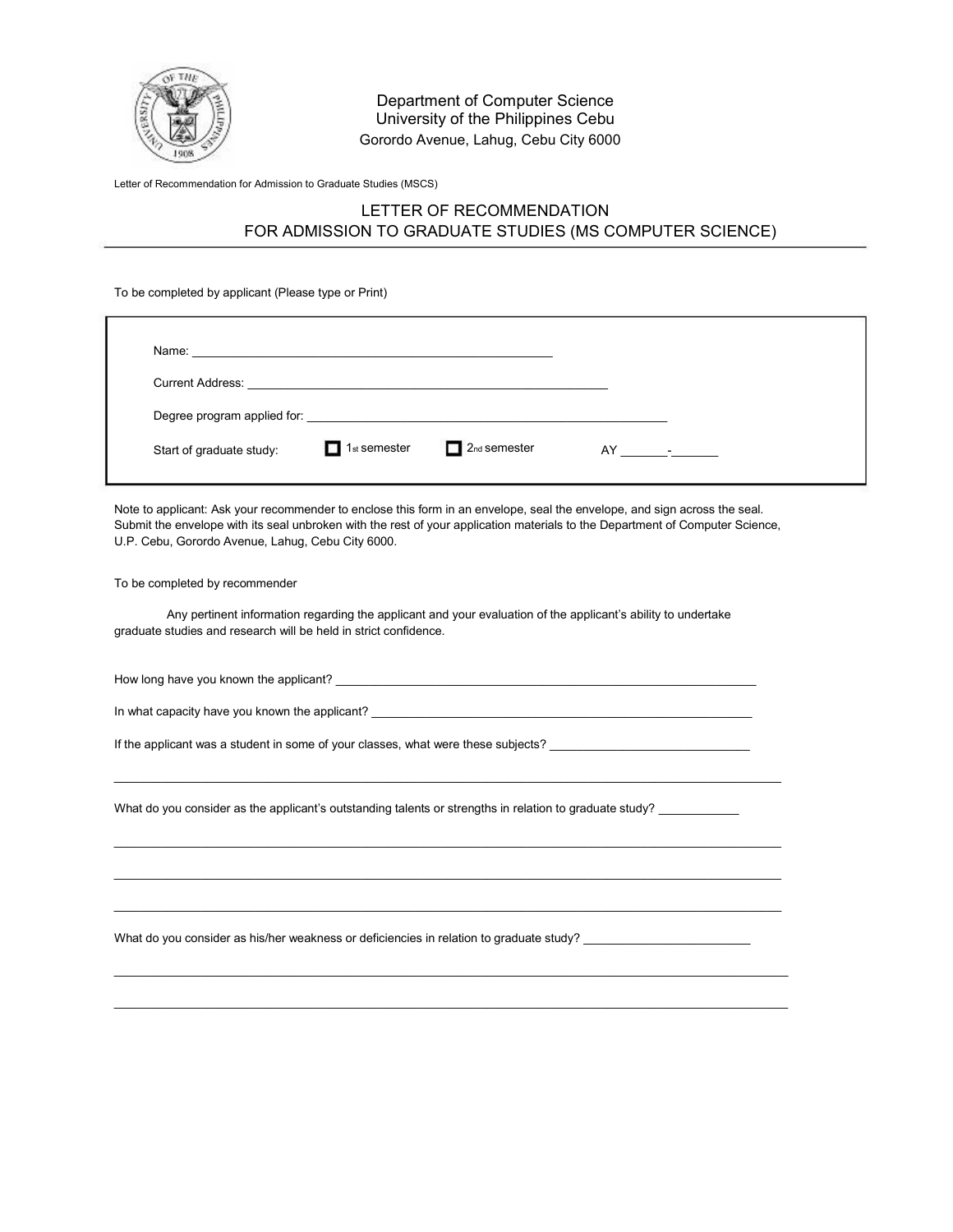

## Department of Computer Science University of the Philippines Cebu Gorordo Avenue, Lahug, Cebu City 6000

Letter of Recommendation for Admission to Graduate Studies (MSCS)

## LETTER OF RECOMMENDATION FOR ADMISSION TO GRADUATE STUDIES (MS COMPUTER SCIENCE)

To be completed by applicant (Please type or Print)

| Degree program applied for: example of the state of the state of the state of the state of the state of the state of the state of the state of the state of the state of the state of the state of the state of the state of t |                     |                                 |                |
|--------------------------------------------------------------------------------------------------------------------------------------------------------------------------------------------------------------------------------|---------------------|---------------------------------|----------------|
| Start of graduate study:                                                                                                                                                                                                       | $\Box$ 1st semester | $\Box$ 2 <sub>nd</sub> semester | $AY \t - \t -$ |
|                                                                                                                                                                                                                                |                     |                                 |                |

Note to applicant: Ask your recommender to enclose this form in an envelope, seal the envelope, and sign across the seal. Submit the envelope with its seal unbroken with the rest of your application materials to the Department of Computer Science, U.P. Cebu, Gorordo Avenue, Lahug, Cebu City 6000.

To be completed by recommender

Any pertinent information regarding the applicant and your evaluation of the applicant's ability to undertake graduate studies and research will be held in strict confidence.

How long have you known the applicant? \_\_\_\_\_\_\_\_\_\_\_\_\_\_\_\_\_\_\_\_\_\_\_\_\_\_\_\_\_\_\_\_\_\_\_\_\_\_\_\_\_\_\_\_\_\_\_\_\_\_\_\_\_\_\_\_\_\_\_\_\_\_\_

In what capacity have you known the applicant? \_\_\_\_\_\_\_\_\_\_\_\_\_\_\_\_\_\_\_\_\_\_\_\_\_\_\_\_\_\_\_\_\_\_

If the applicant was a student in some of your classes, what were these subjects?

What do you consider as the applicant's outstanding talents or strengths in relation to graduate study?

\_\_\_\_\_\_\_\_\_\_\_\_\_\_\_\_\_\_\_\_\_\_\_\_\_\_\_\_\_\_\_\_\_\_\_\_\_\_\_\_\_\_\_\_\_\_\_\_\_\_\_\_\_\_\_\_\_\_\_\_\_\_\_\_\_\_\_\_\_\_\_\_\_\_\_\_\_\_\_\_\_\_\_\_\_\_\_\_\_\_\_\_\_\_\_\_\_\_\_\_

\_\_\_\_\_\_\_\_\_\_\_\_\_\_\_\_\_\_\_\_\_\_\_\_\_\_\_\_\_\_\_\_\_\_\_\_\_\_\_\_\_\_\_\_\_\_\_\_\_\_\_\_\_\_\_\_\_\_\_\_\_\_\_\_\_\_\_\_\_\_\_\_\_\_\_\_\_\_\_\_\_\_\_\_\_\_\_\_\_\_\_\_\_\_\_\_\_\_\_\_

 $\_$  , and the set of the set of the set of the set of the set of the set of the set of the set of the set of the set of the set of the set of the set of the set of the set of the set of the set of the set of the set of th

\_\_\_\_\_\_\_\_\_\_\_\_\_\_\_\_\_\_\_\_\_\_\_\_\_\_\_\_\_\_\_\_\_\_\_\_\_\_\_\_\_\_\_\_\_\_\_\_\_\_\_\_\_\_\_\_\_\_\_\_\_\_\_\_\_\_\_\_\_\_\_\_\_\_\_\_\_\_\_\_\_\_\_\_\_\_\_\_\_\_\_\_\_\_\_\_\_\_\_\_

 $\_$  , and the set of the set of the set of the set of the set of the set of the set of the set of the set of the set of the set of the set of the set of the set of the set of the set of the set of the set of the set of th

\_\_\_\_\_\_\_\_\_\_\_\_\_\_\_\_\_\_\_\_\_\_\_\_\_\_\_\_\_\_\_\_\_\_\_\_\_\_\_\_\_\_\_\_\_\_\_\_\_\_\_\_\_\_\_\_\_\_\_\_\_\_\_\_\_\_\_\_\_\_\_\_\_\_\_\_\_\_\_\_\_\_\_\_\_\_\_\_\_\_\_\_\_\_\_\_\_\_\_\_\_

What do you consider as his/her weakness or deficiencies in relation to graduate study?